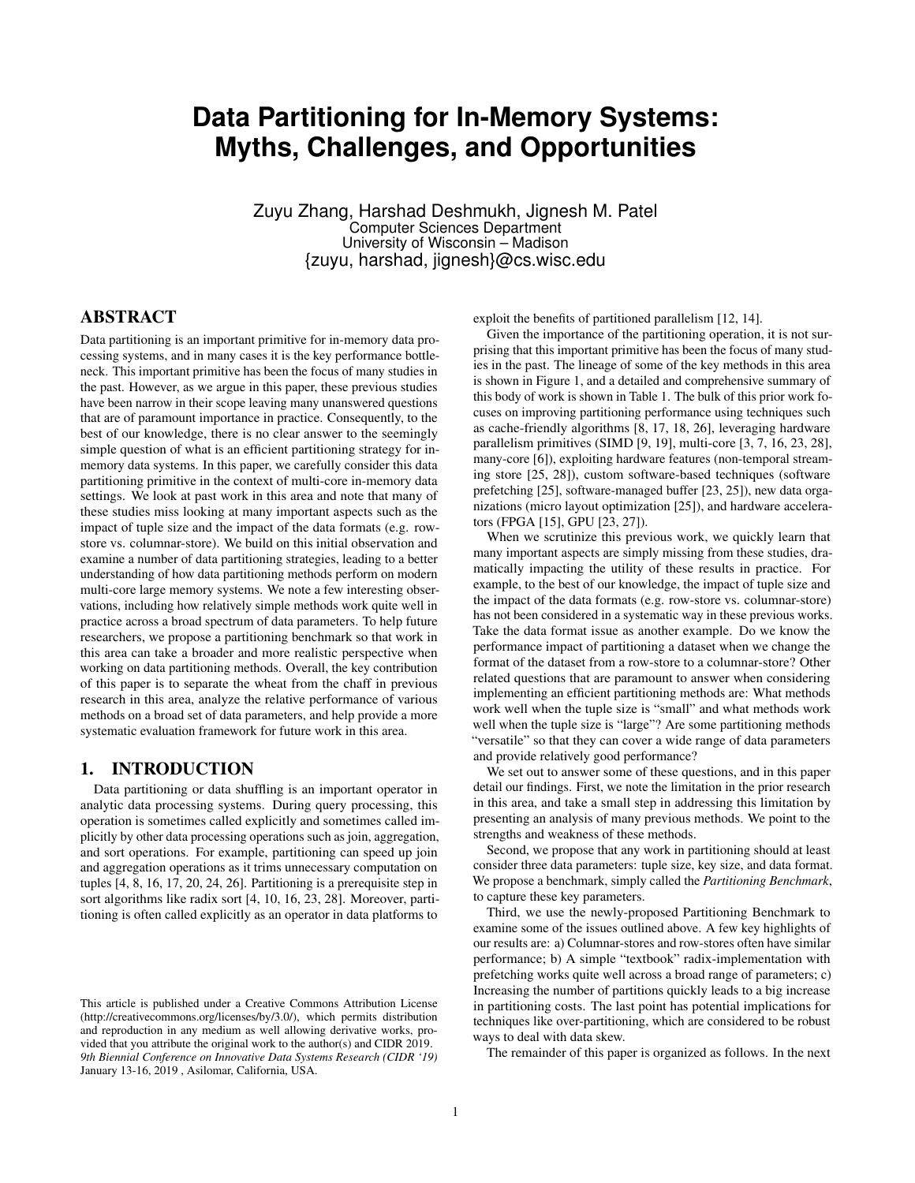# **Data Partitioning for In-Memory Systems: Myths, Challenges, and Opportunities**

Zuyu Zhang, Harshad Deshmukh, Jignesh M. Patel Computer Sciences Department University of Wisconsin – Madison {zuyu, harshad, jignesh}@cs.wisc.edu

# ABSTRACT

Data partitioning is an important primitive for in-memory data processing systems, and in many cases it is the key performance bottleneck. This important primitive has been the focus of many studies in the past. However, as we argue in this paper, these previous studies have been narrow in their scope leaving many unanswered questions that are of paramount importance in practice. Consequently, to the best of our knowledge, there is no clear answer to the seemingly simple question of what is an efficient partitioning strategy for inmemory data systems. In this paper, we carefully consider this data partitioning primitive in the context of multi-core in-memory data settings. We look at past work in this area and note that many of these studies miss looking at many important aspects such as the impact of tuple size and the impact of the data formats (e.g. rowstore vs. columnar-store). We build on this initial observation and examine a number of data partitioning strategies, leading to a better understanding of how data partitioning methods perform on modern multi-core large memory systems. We note a few interesting observations, including how relatively simple methods work quite well in practice across a broad spectrum of data parameters. To help future researchers, we propose a partitioning benchmark so that work in this area can take a broader and more realistic perspective when working on data partitioning methods. Overall, the key contribution of this paper is to separate the wheat from the chaff in previous research in this area, analyze the relative performance of various methods on a broad set of data parameters, and help provide a more systematic evaluation framework for future work in this area.

#### 1. INTRODUCTION

Data partitioning or data shuffling is an important operator in analytic data processing systems. During query processing, this operation is sometimes called explicitly and sometimes called implicitly by other data processing operations such as join, aggregation, and sort operations. For example, partitioning can speed up join and aggregation operations as it trims unnecessary computation on tuples [\[4,](#page-7-0) [8,](#page-7-1) [16,](#page-7-2) [17,](#page-7-3) [20,](#page-7-4) [24,](#page-7-5) [26\]](#page-7-6). Partitioning is a prerequisite step in sort algorithms like radix sort [\[4,](#page-7-0) [10,](#page-7-7) [16,](#page-7-2) [23,](#page-7-8) [28\]](#page-7-9). Moreover, partitioning is often called explicitly as an operator in data platforms to

exploit the benefits of partitioned parallelism [\[12,](#page-7-10) [14\]](#page-7-11).

Given the importance of the partitioning operation, it is not surprising that this important primitive has been the focus of many studies in the past. The lineage of some of the key methods in this area is shown in Figure [1,](#page-1-0) and a detailed and comprehensive summary of this body of work is shown in Table [1.](#page-2-0) The bulk of this prior work focuses on improving partitioning performance using techniques such as cache-friendly algorithms [\[8,](#page-7-1) [17,](#page-7-3) [18,](#page-7-12) [26\]](#page-7-6), leveraging hardware parallelism primitives (SIMD [\[9,](#page-7-13) [19\]](#page-7-14), multi-core [\[3,](#page-7-15) [7,](#page-7-16) [16,](#page-7-2) [23,](#page-7-8) [28\]](#page-7-9), many-core [\[6\]](#page-7-17)), exploiting hardware features (non-temporal streaming store [\[25,](#page-7-18) [28\]](#page-7-9)), custom software-based techniques (software prefetching [\[25\]](#page-7-18), software-managed buffer [\[23,](#page-7-8) [25\]](#page-7-18)), new data organizations (micro layout optimization [\[25\]](#page-7-18)), and hardware accelerators (FPGA [\[15\]](#page-7-19), GPU [\[23,](#page-7-8) [27\]](#page-7-20)).

When we scrutinize this previous work, we quickly learn that many important aspects are simply missing from these studies, dramatically impacting the utility of these results in practice. For example, to the best of our knowledge, the impact of tuple size and the impact of the data formats (e.g. row-store vs. columnar-store) has not been considered in a systematic way in these previous works. Take the data format issue as another example. Do we know the performance impact of partitioning a dataset when we change the format of the dataset from a row-store to a columnar-store? Other related questions that are paramount to answer when considering implementing an efficient partitioning methods are: What methods work well when the tuple size is "small" and what methods work well when the tuple size is "large"? Are some partitioning methods "versatile" so that they can cover a wide range of data parameters and provide relatively good performance?

We set out to answer some of these questions, and in this paper detail our findings. First, we note the limitation in the prior research in this area, and take a small step in addressing this limitation by presenting an analysis of many previous methods. We point to the strengths and weakness of these methods.

Second, we propose that any work in partitioning should at least consider three data parameters: tuple size, key size, and data format. We propose a benchmark, simply called the *Partitioning Benchmark*, to capture these key parameters.

Third, we use the newly-proposed Partitioning Benchmark to examine some of the issues outlined above. A few key highlights of our results are: a) Columnar-stores and row-stores often have similar performance; b) A simple "textbook" radix-implementation with prefetching works quite well across a broad range of parameters; c) Increasing the number of partitions quickly leads to a big increase in partitioning costs. The last point has potential implications for techniques like over-partitioning, which are considered to be robust ways to deal with data skew.

The remainder of this paper is organized as follows. In the next

This article is published under a Creative Commons Attribution License (http://creativecommons.org/licenses/by/3.0/), which permits distribution and reproduction in any medium as well allowing derivative works, provided that you attribute the original work to the author(s) and CIDR 2019. *9th Biennial Conference on Innovative Data Systems Research (CIDR '19)* January 13-16, 2019 , Asilomar, California, USA.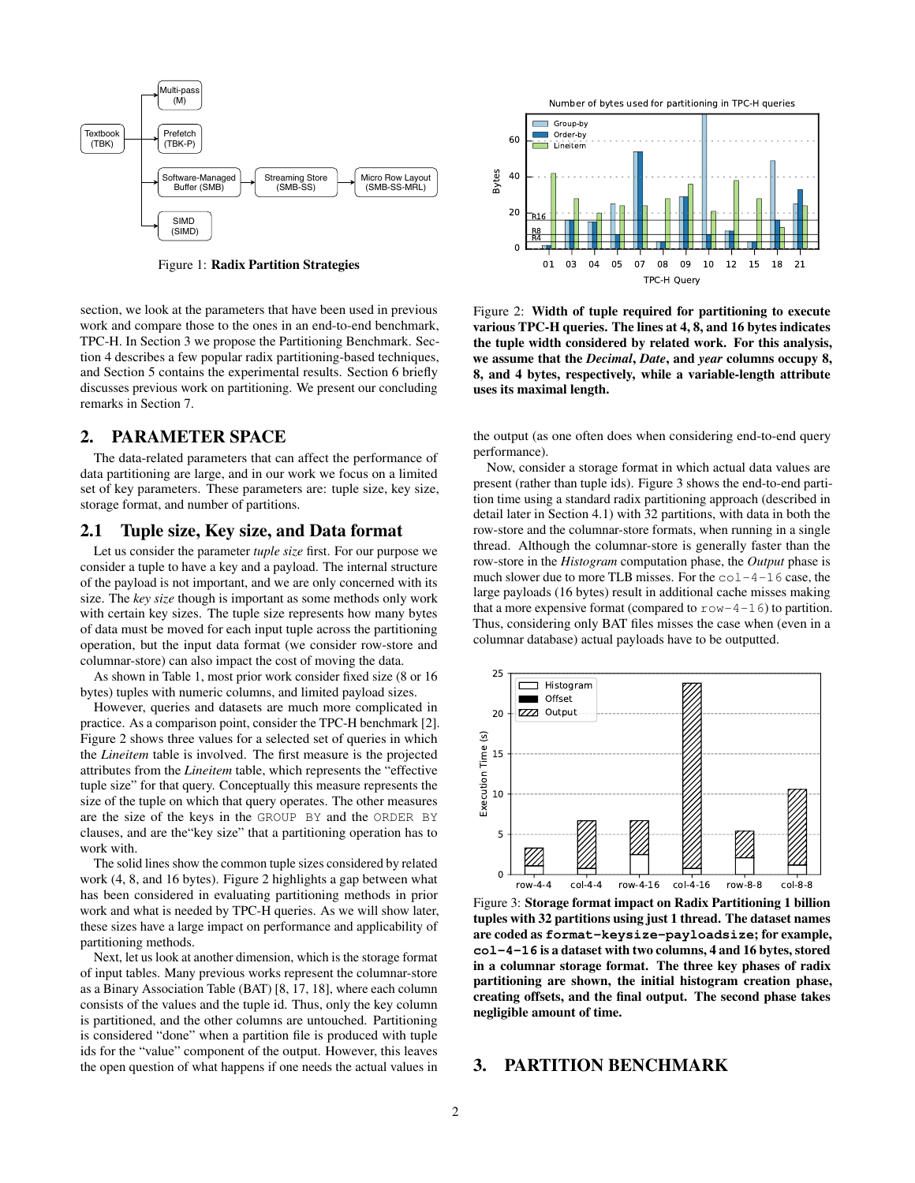<span id="page-1-0"></span>

Figure 1: Radix Partition Strategies

section, we look at the parameters that have been used in previous work and compare those to the ones in an end-to-end benchmark, TPC-H. In Section [3](#page-1-1) we propose the Partitioning Benchmark. Section [4](#page-2-1) describes a few popular radix partitioning-based techniques, and Section [5](#page-4-0) contains the experimental results. Section [6](#page-6-0) briefly discusses previous work on partitioning. We present our concluding remarks in Section [7.](#page-6-1)

#### 2. PARAMETER SPACE

The data-related parameters that can affect the performance of data partitioning are large, and in our work we focus on a limited set of key parameters. These parameters are: tuple size, key size, storage format, and number of partitions.

#### 2.1 Tuple size, Key size, and Data format

Let us consider the parameter *tuple size* first. For our purpose we consider a tuple to have a key and a payload. The internal structure of the payload is not important, and we are only concerned with its size. The *key size* though is important as some methods only work with certain key sizes. The tuple size represents how many bytes of data must be moved for each input tuple across the partitioning operation, but the input data format (we consider row-store and columnar-store) can also impact the cost of moving the data.

As shown in Table [1,](#page-2-0) most prior work consider fixed size (8 or 16 bytes) tuples with numeric columns, and limited payload sizes.

However, queries and datasets are much more complicated in practice. As a comparison point, consider the TPC-H benchmark [\[2\]](#page-7-21). Figure [2](#page-1-2) shows three values for a selected set of queries in which the *Lineitem* table is involved. The first measure is the projected attributes from the *Lineitem* table, which represents the "effective tuple size" for that query. Conceptually this measure represents the size of the tuple on which that query operates. The other measures are the size of the keys in the GROUP BY and the ORDER BY clauses, and are the"key size" that a partitioning operation has to work with.

The solid lines show the common tuple sizes considered by related work (4, 8, and 16 bytes). Figure [2](#page-1-2) highlights a gap between what has been considered in evaluating partitioning methods in prior work and what is needed by TPC-H queries. As we will show later, these sizes have a large impact on performance and applicability of partitioning methods.

Next, let us look at another dimension, which is the storage format of input tables. Many previous works represent the columnar-store as a Binary Association Table (BAT) [\[8,](#page-7-1) [17,](#page-7-3) [18\]](#page-7-12), where each column consists of the values and the tuple id. Thus, only the key column is partitioned, and the other columns are untouched. Partitioning is considered "done" when a partition file is produced with tuple ids for the "value" component of the output. However, this leaves the open question of what happens if one needs the actual values in

<span id="page-1-2"></span>

Figure 2: Width of tuple required for partitioning to execute various TPC-H queries. The lines at 4, 8, and 16 bytes indicates the tuple width considered by related work. For this analysis, we assume that the *Decimal*, *Date*, and *year* columns occupy 8, 8, and 4 bytes, respectively, while a variable-length attribute uses its maximal length.

the output (as one often does when considering end-to-end query performance).

Now, consider a storage format in which actual data values are present (rather than tuple ids). Figure [3](#page-1-3) shows the end-to-end partition time using a standard radix partitioning approach (described in detail later in Section [4.1\)](#page-2-2) with 32 partitions, with data in both the row-store and the columnar-store formats, when running in a single thread. Although the columnar-store is generally faster than the row-store in the *Histogram* computation phase, the *Output* phase is much slower due to more TLB misses. For the  $\text{col-4-16}$  case, the large payloads (16 bytes) result in additional cache misses making that a more expensive format (compared to  $r \circ w - 4 - 16$ ) to partition. Thus, considering only BAT files misses the case when (even in a columnar database) actual payloads have to be outputted.

<span id="page-1-3"></span>

Figure 3: Storage format impact on Radix Partitioning 1 billion tuples with 32 partitions using just 1 thread. The dataset names are coded as **format-keysize-payloadsize**; for example, **col-4-16** is a dataset with two columns, 4 and 16 bytes, stored in a columnar storage format. The three key phases of radix partitioning are shown, the initial histogram creation phase, creating offsets, and the final output. The second phase takes negligible amount of time.

#### <span id="page-1-1"></span>3. PARTITION BENCHMARK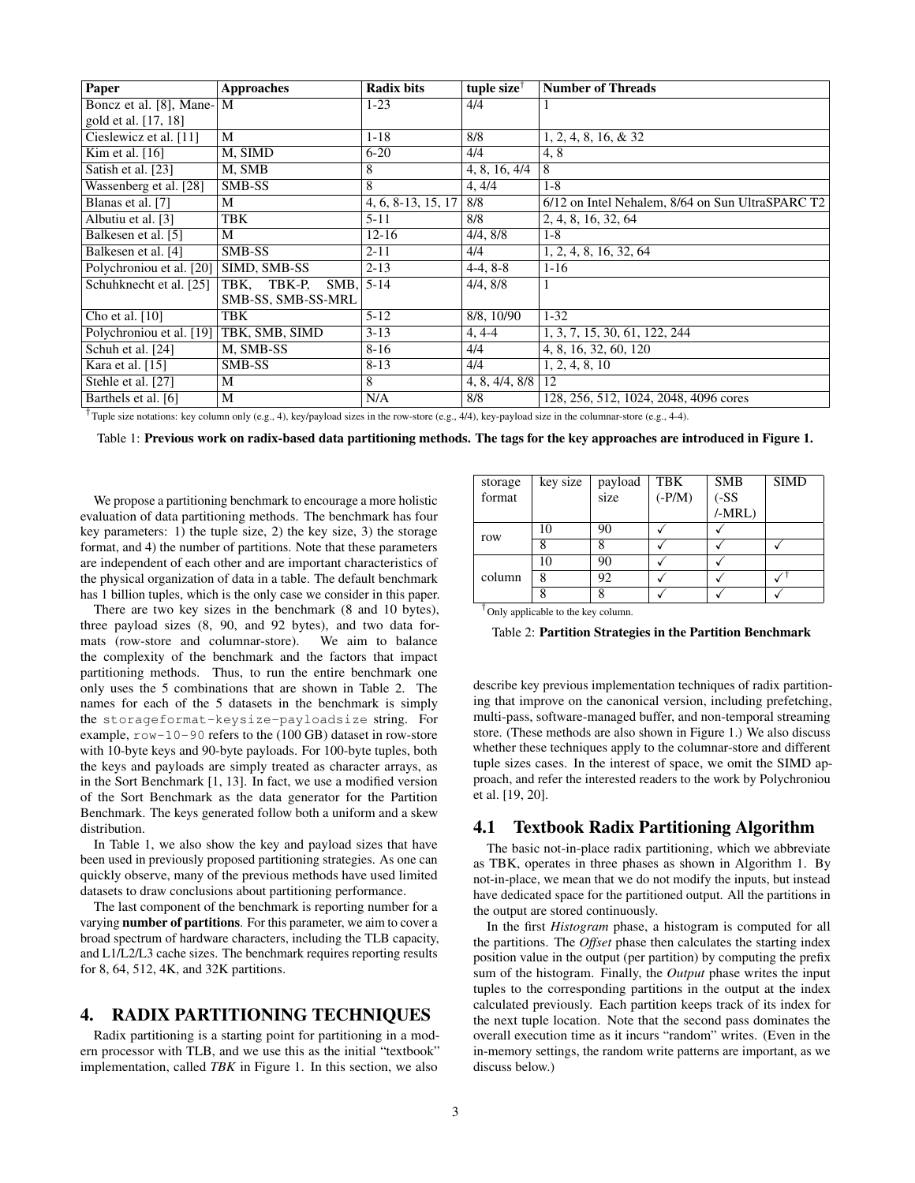<span id="page-2-0"></span>

| Paper                                                                                                                             | <b>Approaches</b>   | <b>Radix bits</b>    | tuple size <sup><math>\dagger</math></sup> | <b>Number of Threads</b>                         |  |  |  |
|-----------------------------------------------------------------------------------------------------------------------------------|---------------------|----------------------|--------------------------------------------|--------------------------------------------------|--|--|--|
| Boncz et al. [8], Mane-                                                                                                           | M                   | $1-23$               | 4/4                                        |                                                  |  |  |  |
| gold et al. [17, 18]                                                                                                              |                     |                      |                                            |                                                  |  |  |  |
| Cieslewicz et al. [11]                                                                                                            | M                   | $1 - 18$             | 8/8                                        | $1, 2, 4, 8, 16, \& 32$                          |  |  |  |
| Kim et al. $\overline{16}$                                                                                                        | M, SIMD             | $6 - 20$             | 4/4                                        | 4,8                                              |  |  |  |
| Satish et al. [23]                                                                                                                | M, SMB              | 8                    | 4, 8, 16, 4/4                              | 8                                                |  |  |  |
| Wassenberg et al. [28]                                                                                                            | SMB-SS              | 8                    | 4, 4/4                                     | $1 - 8$                                          |  |  |  |
| Blanas et al. [7]                                                                                                                 | M                   | $4, 6, 8-13, 15, 17$ | 8/8                                        | 6/12 on Intel Nehalem, 8/64 on Sun UltraSPARC T2 |  |  |  |
| Albutiu et al. [3]                                                                                                                | TBK                 | $5 - 11$             | 8/8                                        | 2, 4, 8, 16, 32, 64                              |  |  |  |
| Balkesen et al. [5]                                                                                                               | M                   | $12 - 16$            | 4/4, 8/8                                   | $1 - 8$                                          |  |  |  |
| Balkesen et al. [4]                                                                                                               | SMB-SS              | $2 - 11$             | 4/4                                        | 1, 2, 4, 8, 16, 32, 64                           |  |  |  |
| Polychroniou et al. [20]                                                                                                          | SIMD, SMB-SS        | $2 - 13$             | $4-4, 8-8$                                 | $1-16$                                           |  |  |  |
| Schuhknecht et al. [25]                                                                                                           | TBK, TBK-P,<br>SMB, | $5 - 14$             | 4/4, 8/8                                   | 1                                                |  |  |  |
|                                                                                                                                   | SMB-SS, SMB-SS-MRL  |                      |                                            |                                                  |  |  |  |
| Cho et al. $[10]$                                                                                                                 | TBK                 | $5 - 12$             | 8/8, 10/90                                 | $1 - 32$                                         |  |  |  |
| Polychroniou et al. [19]                                                                                                          | TBK, SMB, SIMD      | $3-13$               | $4, 4-4$                                   | 1, 3, 7, 15, 30, 61, 122, 244                    |  |  |  |
| Schuh et al. [24]                                                                                                                 | M, SMB-SS           | $8 - 16$             | 4/4                                        | 4, 8, 16, 32, 60, 120                            |  |  |  |
| Kara et al. [15]                                                                                                                  | SMB-SS              | $8 - 13$             | 4/4                                        | 1, 2, 4, 8, 10                                   |  |  |  |
| Stehle et al. [27]                                                                                                                | М                   | 8                    | 4, 8, 4/4, $8/8$   12                      |                                                  |  |  |  |
| Barthels et al. [6]                                                                                                               | M                   | N/A                  | 8/8                                        | 128, 256, 512, 1024, 2048, 4096 cores            |  |  |  |
| ta and a state of the state of the state of the state of the state of the state of the state of the state of the<br>$\cdots$<br>. |                     |                      |                                            |                                                  |  |  |  |

<sup>†</sup> Tuple size notations: key column only (e.g., 4), key/payload sizes in the row-store (e.g., 4/4), key-payload size in the columnar-store (e.g., 4-4).

Table 1: Previous work on radix-based data partitioning methods. The tags for the key approaches are introduced in Figure [1.](#page-1-0)

We propose a partitioning benchmark to encourage a more holistic evaluation of data partitioning methods. The benchmark has four key parameters: 1) the tuple size, 2) the key size, 3) the storage format, and 4) the number of partitions. Note that these parameters are independent of each other and are important characteristics of the physical organization of data in a table. The default benchmark has 1 billion tuples, which is the only case we consider in this paper.

There are two key sizes in the benchmark (8 and 10 bytes), three payload sizes (8, 90, and 92 bytes), and two data for-<br>mats (row-store and columnar-store). We aim to balance mats (row-store and columnar-store). the complexity of the benchmark and the factors that impact partitioning methods. Thus, to run the entire benchmark one only uses the 5 combinations that are shown in Table [2.](#page-2-3) The names for each of the 5 datasets in the benchmark is simply the storageformat-keysize-payloadsize string. For example,  $row-10-90$  refers to the (100 GB) dataset in row-store with 10-byte keys and 90-byte payloads. For 100-byte tuples, both the keys and payloads are simply treated as character arrays, as in the Sort Benchmark [\[1,](#page-7-24) [13\]](#page-7-25). In fact, we use a modified version of the Sort Benchmark as the data generator for the Partition Benchmark. The keys generated follow both a uniform and a skew distribution.

In Table [1,](#page-1-0) we also show the key and payload sizes that have been used in previously proposed partitioning strategies. As one can quickly observe, many of the previous methods have used limited datasets to draw conclusions about partitioning performance.

The last component of the benchmark is reporting number for a varying number of partitions. For this parameter, we aim to cover a broad spectrum of hardware characters, including the TLB capacity, and L1/L2/L3 cache sizes. The benchmark requires reporting results for 8, 64, 512, 4K, and 32K partitions.

# <span id="page-2-1"></span>4. RADIX PARTITIONING TECHNIQUES

Radix partitioning is a starting point for partitioning in a modern processor with TLB, and we use this as the initial "textbook" implementation, called *TBK* in Figure [1.](#page-1-0) In this section, we also

<span id="page-2-3"></span>

| storage | key size | payload | TBK      | <b>SMB</b>   | <b>SIMD</b> |
|---------|----------|---------|----------|--------------|-------------|
| format  |          | size    | $(-P/M)$ | $(-SS)$      |             |
|         |          |         |          | $/$ -MRL $)$ |             |
| row     | 10       | 90      |          |              |             |
|         |          | 8       |          |              |             |
| column  | 10       | 90      |          |              |             |
|         | 8        | 92      |          |              |             |
|         |          | 8       |          |              |             |

† Only applicable to the key column.

Table 2: Partition Strategies in the Partition Benchmark

describe key previous implementation techniques of radix partitioning that improve on the canonical version, including prefetching, multi-pass, software-managed buffer, and non-temporal streaming store. (These methods are also shown in Figure [1.](#page-1-0)) We also discuss whether these techniques apply to the columnar-store and different tuple sizes cases. In the interest of space, we omit the SIMD approach, and refer the interested readers to the work by Polychroniou et al. [\[19,](#page-7-14) [20\]](#page-7-4).

#### <span id="page-2-2"></span>4.1 Textbook Radix Partitioning Algorithm

The basic not-in-place radix partitioning, which we abbreviate as TBK, operates in three phases as shown in Algorithm [1.](#page-3-0) By not-in-place, we mean that we do not modify the inputs, but instead have dedicated space for the partitioned output. All the partitions in the output are stored continuously.

In the first *Histogram* phase, a histogram is computed for all the partitions. The *Offset* phase then calculates the starting index position value in the output (per partition) by computing the prefix sum of the histogram. Finally, the *Output* phase writes the input tuples to the corresponding partitions in the output at the index calculated previously. Each partition keeps track of its index for the next tuple location. Note that the second pass dominates the overall execution time as it incurs "random" writes. (Even in the in-memory settings, the random write patterns are important, as we discuss below.)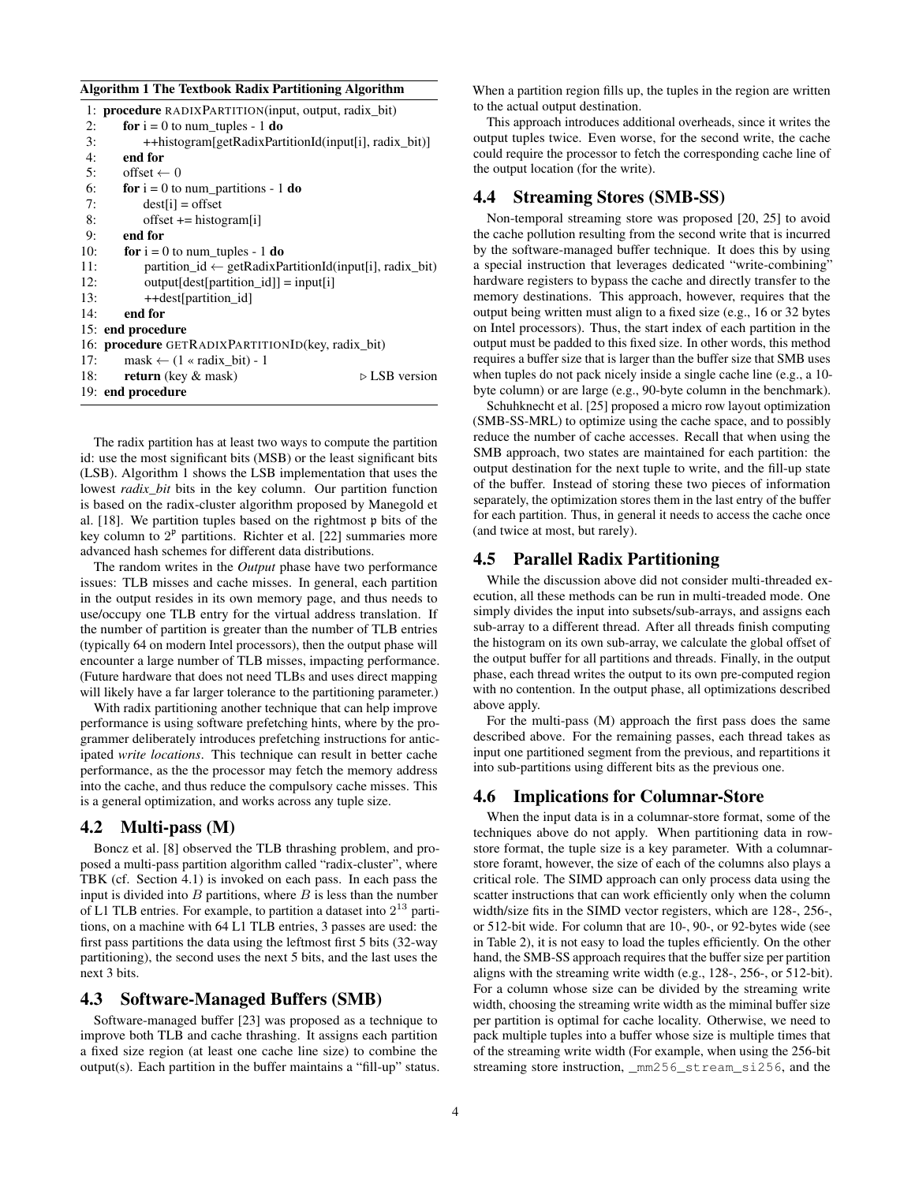#### <span id="page-3-0"></span>Algorithm 1 The Textbook Radix Partitioning Algorithm

|     | 1: <b>procedure</b> RADIXPARTITION(input, output, radix bit)         |  |  |  |  |
|-----|----------------------------------------------------------------------|--|--|--|--|
| 2:  | for $i = 0$ to num tuples - 1 do                                     |  |  |  |  |
| 3:  | ++histogram[getRadixPartitionId(input[i], radix_bit)]                |  |  |  |  |
| 4:  | end for                                                              |  |  |  |  |
| 5:  | $offset \leftarrow 0$                                                |  |  |  |  |
| 6:  | <b>for</b> $i = 0$ to num partitions - 1 <b>do</b>                   |  |  |  |  |
| 7:  | $dest[i] = offset$                                                   |  |  |  |  |
| 8:  | offset $+=$ histogram[i]                                             |  |  |  |  |
| 9:  | end for                                                              |  |  |  |  |
| 10: | for $i = 0$ to num_tuples - 1 do                                     |  |  |  |  |
| 11: | partition $id \leftarrow getRadiusPartitionId(input[i], radix\_bit)$ |  |  |  |  |
| 12: | $output[dest[partition_id]] = input[i]$                              |  |  |  |  |
| 13: | ++dest[partition id]                                                 |  |  |  |  |
| 14: | end for                                                              |  |  |  |  |
|     | 15: end procedure                                                    |  |  |  |  |
|     | 16: <b>procedure</b> GETRADIXPARTITIONID(key, radix bit)             |  |  |  |  |
| 17: | $mask \leftarrow (1$ « radix bit) - 1                                |  |  |  |  |
| 18: | $\triangleright$ LSB version<br><b>return</b> (key $\&$ mask)        |  |  |  |  |
|     | 19: end procedure                                                    |  |  |  |  |
|     |                                                                      |  |  |  |  |

The radix partition has at least two ways to compute the partition id: use the most significant bits (MSB) or the least significant bits (LSB). Algorithm [1](#page-3-0) shows the LSB implementation that uses the lowest *radix* bit bits in the key column. Our partition function is based on the radix-cluster algorithm proposed by Manegold et al. [\[18\]](#page-7-12). We partition tuples based on the rightmost p bits of the key column to  $2^p$  partitions. Richter et al. [\[22\]](#page-7-26) summaries more advanced hash schemes for different data distributions.

The random writes in the *Output* phase have two performance issues: TLB misses and cache misses. In general, each partition in the output resides in its own memory page, and thus needs to use/occupy one TLB entry for the virtual address translation. If the number of partition is greater than the number of TLB entries (typically 64 on modern Intel processors), then the output phase will encounter a large number of TLB misses, impacting performance. (Future hardware that does not need TLBs and uses direct mapping will likely have a far larger tolerance to the partitioning parameter.)

With radix partitioning another technique that can help improve performance is using software prefetching hints, where by the programmer deliberately introduces prefetching instructions for anticipated *write locations*. This technique can result in better cache performance, as the the processor may fetch the memory address into the cache, and thus reduce the compulsory cache misses. This is a general optimization, and works across any tuple size.

#### <span id="page-3-3"></span>4.2 Multi-pass (M)

Boncz et al. [\[8\]](#page-7-1) observed the TLB thrashing problem, and proposed a multi-pass partition algorithm called "radix-cluster", where TBK (cf. Section [4.1\)](#page-2-2) is invoked on each pass. In each pass the input is divided into  $B$  partitions, where  $B$  is less than the number of L1 TLB entries. For example, to partition a dataset into  $2^{13}$  partitions, on a machine with 64 L1 TLB entries, 3 passes are used: the first pass partitions the data using the leftmost first 5 bits (32-way partitioning), the second uses the next 5 bits, and the last uses the next 3 bits.

# <span id="page-3-1"></span>4.3 Software-Managed Buffers (SMB)

Software-managed buffer [\[23\]](#page-7-8) was proposed as a technique to improve both TLB and cache thrashing. It assigns each partition a fixed size region (at least one cache line size) to combine the output(s). Each partition in the buffer maintains a "fill-up" status. When a partition region fills up, the tuples in the region are written to the actual output destination.

This approach introduces additional overheads, since it writes the output tuples twice. Even worse, for the second write, the cache could require the processor to fetch the corresponding cache line of the output location (for the write).

#### <span id="page-3-2"></span>4.4 Streaming Stores (SMB-SS)

Non-temporal streaming store was proposed [\[20,](#page-7-4) [25\]](#page-7-18) to avoid the cache pollution resulting from the second write that is incurred by the software-managed buffer technique. It does this by using a special instruction that leverages dedicated "write-combining" hardware registers to bypass the cache and directly transfer to the memory destinations. This approach, however, requires that the output being written must align to a fixed size (e.g., 16 or 32 bytes on Intel processors). Thus, the start index of each partition in the output must be padded to this fixed size. In other words, this method requires a buffer size that is larger than the buffer size that SMB uses when tuples do not pack nicely inside a single cache line (e.g., a 10 byte column) or are large (e.g., 90-byte column in the benchmark).

Schuhknecht et al. [\[25\]](#page-7-18) proposed a micro row layout optimization (SMB-SS-MRL) to optimize using the cache space, and to possibly reduce the number of cache accesses. Recall that when using the SMB approach, two states are maintained for each partition: the output destination for the next tuple to write, and the fill-up state of the buffer. Instead of storing these two pieces of information separately, the optimization stores them in the last entry of the buffer for each partition. Thus, in general it needs to access the cache once (and twice at most, but rarely).

#### 4.5 Parallel Radix Partitioning

While the discussion above did not consider multi-threaded execution, all these methods can be run in multi-treaded mode. One simply divides the input into subsets/sub-arrays, and assigns each sub-array to a different thread. After all threads finish computing the histogram on its own sub-array, we calculate the global offset of the output buffer for all partitions and threads. Finally, in the output phase, each thread writes the output to its own pre-computed region with no contention. In the output phase, all optimizations described above apply.

For the multi-pass (M) approach the first pass does the same described above. For the remaining passes, each thread takes as input one partitioned segment from the previous, and repartitions it into sub-partitions using different bits as the previous one.

### <span id="page-3-4"></span>4.6 Implications for Columnar-Store

When the input data is in a columnar-store format, some of the techniques above do not apply. When partitioning data in rowstore format, the tuple size is a key parameter. With a columnarstore foramt, however, the size of each of the columns also plays a critical role. The SIMD approach can only process data using the scatter instructions that can work efficiently only when the column width/size fits in the SIMD vector registers, which are 128-, 256-, or 512-bit wide. For column that are 10-, 90-, or 92-bytes wide (see in Table [2\)](#page-2-3), it is not easy to load the tuples efficiently. On the other hand, the SMB-SS approach requires that the buffer size per partition aligns with the streaming write width (e.g., 128-, 256-, or 512-bit). For a column whose size can be divided by the streaming write width, choosing the streaming write width as the miminal buffer size per partition is optimal for cache locality. Otherwise, we need to pack multiple tuples into a buffer whose size is multiple times that of the streaming write width (For example, when using the 256-bit streaming store instruction, \_mm256\_stream\_si256, and the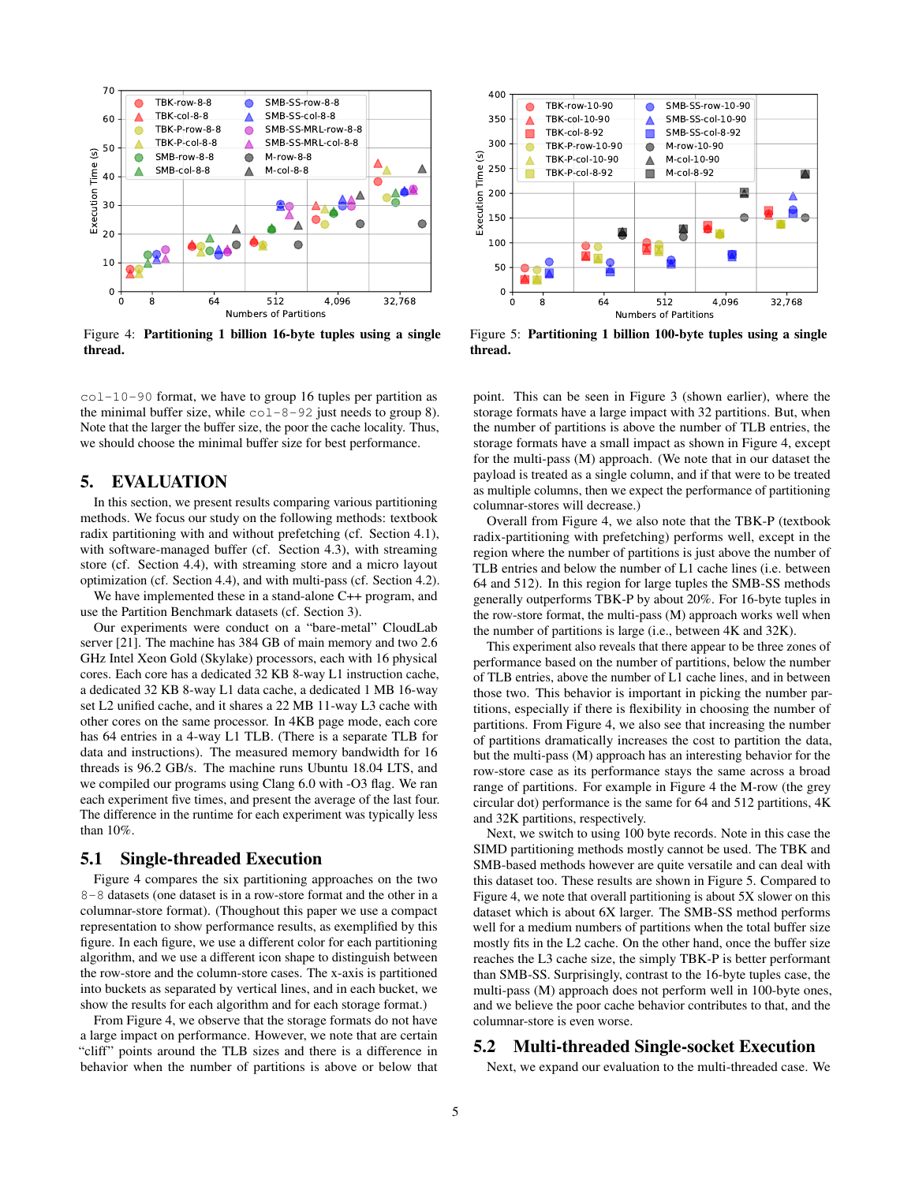<span id="page-4-1"></span>

Figure 4: Partitioning 1 billion 16-byte tuples using a single thread.

 $col-10-90$  format, we have to group 16 tuples per partition as the minimal buffer size, while  $\text{col-8-92}$  just needs to group 8). Note that the larger the buffer size, the poor the cache locality. Thus, we should choose the minimal buffer size for best performance.

#### <span id="page-4-0"></span>5. EVALUATION

In this section, we present results comparing various partitioning methods. We focus our study on the following methods: textbook radix partitioning with and without prefetching (cf. Section [4.1\)](#page-2-2), with software-managed buffer (cf. Section [4.3\)](#page-3-1), with streaming store (cf. Section [4.4\)](#page-3-2), with streaming store and a micro layout optimization (cf. Section [4.4\)](#page-3-2), and with multi-pass (cf. Section [4.2\)](#page-3-3).

We have implemented these in a stand-alone C++ program, and use the Partition Benchmark datasets (cf. Section [3\)](#page-1-1).

Our experiments were conduct on a "bare-metal" CloudLab server [\[21\]](#page-7-27). The machine has 384 GB of main memory and two 2.6 GHz Intel Xeon Gold (Skylake) processors, each with 16 physical cores. Each core has a dedicated 32 KB 8-way L1 instruction cache, a dedicated 32 KB 8-way L1 data cache, a dedicated 1 MB 16-way set L2 unified cache, and it shares a 22 MB 11-way L3 cache with other cores on the same processor. In 4KB page mode, each core has 64 entries in a 4-way L1 TLB. (There is a separate TLB for data and instructions). The measured memory bandwidth for 16 threads is 96.2 GB/s. The machine runs Ubuntu 18.04 LTS, and we compiled our programs using Clang 6.0 with -O3 flag. We ran each experiment five times, and present the average of the last four. The difference in the runtime for each experiment was typically less than 10%.

#### 5.1 Single-threaded Execution

Figure [4](#page-4-1) compares the six partitioning approaches on the two 8-8 datasets (one dataset is in a row-store format and the other in a columnar-store format). (Thoughout this paper we use a compact representation to show performance results, as exemplified by this figure. In each figure, we use a different color for each partitioning algorithm, and we use a different icon shape to distinguish between the row-store and the column-store cases. The x-axis is partitioned into buckets as separated by vertical lines, and in each bucket, we show the results for each algorithm and for each storage format.)

From Figure [4,](#page-4-1) we observe that the storage formats do not have a large impact on performance. However, we note that are certain "cliff" points around the TLB sizes and there is a difference in behavior when the number of partitions is above or below that



Figure 5: Partitioning 1 billion 100-byte tuples using a single thread.

point. This can be seen in Figure [3](#page-1-3) (shown earlier), where the storage formats have a large impact with 32 partitions. But, when the number of partitions is above the number of TLB entries, the storage formats have a small impact as shown in Figure [4,](#page-4-1) except for the multi-pass (M) approach. (We note that in our dataset the payload is treated as a single column, and if that were to be treated as multiple columns, then we expect the performance of partitioning columnar-stores will decrease.)

Overall from Figure [4,](#page-4-1) we also note that the TBK-P (textbook radix-partitioning with prefetching) performs well, except in the region where the number of partitions is just above the number of TLB entries and below the number of L1 cache lines (i.e. between 64 and 512). In this region for large tuples the SMB-SS methods generally outperforms TBK-P by about 20%. For 16-byte tuples in the row-store format, the multi-pass (M) approach works well when the number of partitions is large (i.e., between 4K and 32K).

This experiment also reveals that there appear to be three zones of performance based on the number of partitions, below the number of TLB entries, above the number of L1 cache lines, and in between those two. This behavior is important in picking the number partitions, especially if there is flexibility in choosing the number of partitions. From Figure [4,](#page-4-1) we also see that increasing the number of partitions dramatically increases the cost to partition the data, but the multi-pass (M) approach has an interesting behavior for the row-store case as its performance stays the same across a broad range of partitions. For example in Figure [4](#page-4-1) the M-row (the grey circular dot) performance is the same for 64 and 512 partitions, 4K and 32K partitions, respectively.

Next, we switch to using 100 byte records. Note in this case the SIMD partitioning methods mostly cannot be used. The TBK and SMB-based methods however are quite versatile and can deal with this dataset too. These results are shown in Figure [5.](#page-4-1) Compared to Figure [4,](#page-4-1) we note that overall partitioning is about 5X slower on this dataset which is about 6X larger. The SMB-SS method performs well for a medium numbers of partitions when the total buffer size mostly fits in the L2 cache. On the other hand, once the buffer size reaches the L3 cache size, the simply TBK-P is better performant than SMB-SS. Surprisingly, contrast to the 16-byte tuples case, the multi-pass (M) approach does not perform well in 100-byte ones, and we believe the poor cache behavior contributes to that, and the columnar-store is even worse.

# 5.2 Multi-threaded Single-socket Execution

Next, we expand our evaluation to the multi-threaded case. We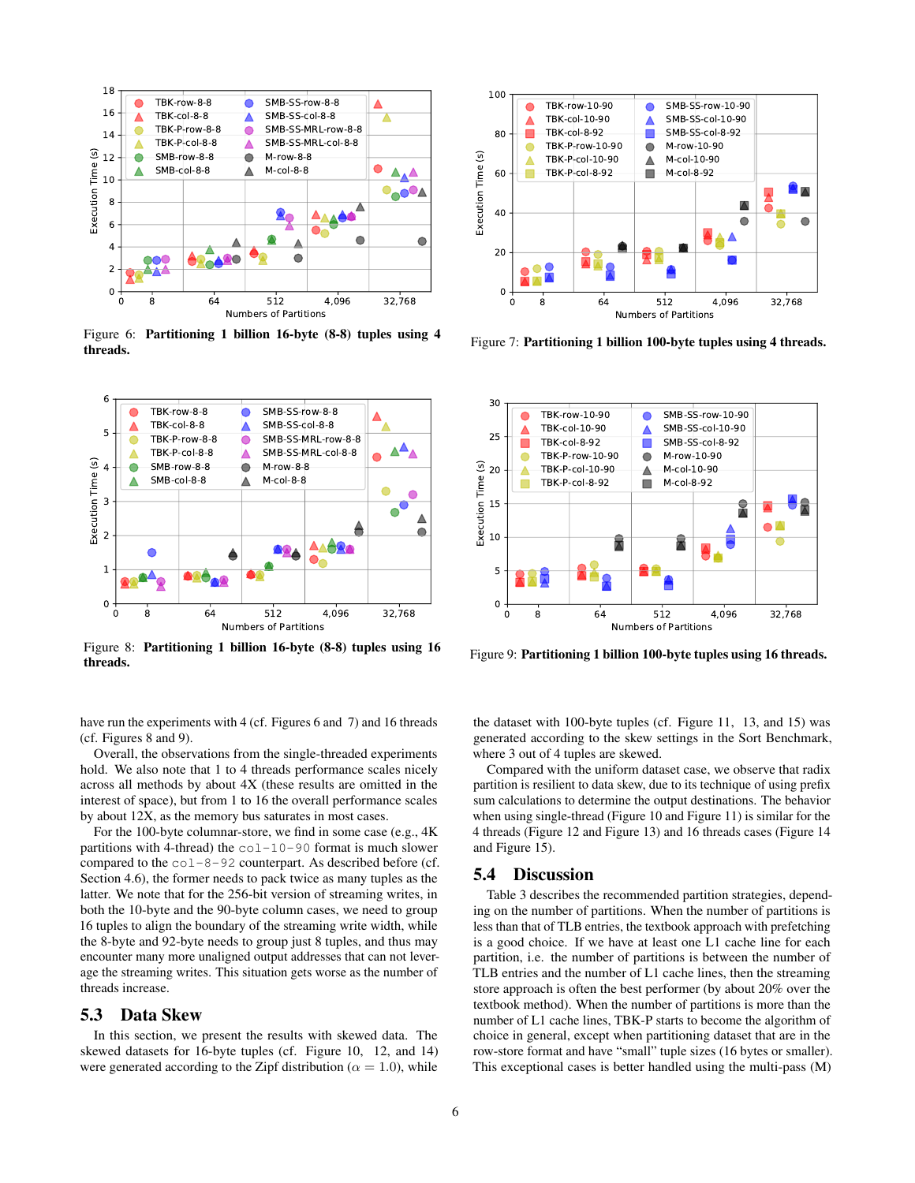<span id="page-5-0"></span>

Figure 6: Partitioning 1 billion 16-byte (8-8) tuples using 4 Figure 0: Fartitioning 1 billion 10-byte (0-0) tuples using 4<br>Figure 7: Partitioning 1 billion 100-byte tuples using 4 threads.

<span id="page-5-1"></span>

Figure 8: Partitioning 1 billion 16-byte (8-8) tuples using 16 Tigure 6. Tartitioning 1 billion 100-byte (0-0) tuples using 10<br>threads.

have run the experiments with 4 (cf. Figures [6](#page-5-0) and [7\)](#page-5-0) and 16 threads (cf. Figures [8](#page-5-1) and [9\)](#page-5-1).

Overall, the observations from the single-threaded experiments hold. We also note that 1 to 4 threads performance scales nicely across all methods by about 4X (these results are omitted in the interest of space), but from 1 to 16 the overall performance scales by about 12X, as the memory bus saturates in most cases.

For the 100-byte columnar-store, we find in some case (e.g., 4K partitions with 4-thread) the  $col-10-90$  format is much slower compared to the col-8-92 counterpart. As described before (cf. Section [4.6\)](#page-3-4), the former needs to pack twice as many tuples as the latter. We note that for the 256-bit version of streaming writes, in both the 10-byte and the 90-byte column cases, we need to group 16 tuples to align the boundary of the streaming write width, while the 8-byte and 92-byte needs to group just 8 tuples, and thus may encounter many more unaligned output addresses that can not leverage the streaming writes. This situation gets worse as the number of threads increase.

# 5.3 Data Skew

In this section, we present the results with skewed data. The skewed datasets for 16-byte tuples (cf. Figure [10,](#page-6-2) [12,](#page-6-3) and [14\)](#page-7-28) were generated according to the Zipf distribution ( $\alpha = 1.0$ ), while





the dataset with 100-byte tuples (cf. Figure [11,](#page-6-2) [13,](#page-6-3) and [15\)](#page-7-28) was generated according to the skew settings in the Sort Benchmark, where 3 out of 4 tuples are skewed.

Compared with the uniform dataset case, we observe that radix partition is resilient to data skew, due to its technique of using prefix sum calculations to determine the output destinations. The behavior when using single-thread (Figure [10](#page-6-2) and Figure [11\)](#page-6-2) is similar for the 4 threads (Figure [12](#page-6-3) and Figure [13\)](#page-6-3) and 16 threads cases (Figure [14](#page-7-28) and Figure [15\)](#page-7-28).

#### 5.4 Discussion

Table [3](#page-6-4) describes the recommended partition strategies, depending on the number of partitions. When the number of partitions is less than that of TLB entries, the textbook approach with prefetching is a good choice. If we have at least one L1 cache line for each partition, i.e. the number of partitions is between the number of TLB entries and the number of L1 cache lines, then the streaming store approach is often the best performer (by about 20% over the textbook method). When the number of partitions is more than the number of L1 cache lines, TBK-P starts to become the algorithm of choice in general, except when partitioning dataset that are in the row-store format and have "small" tuple sizes (16 bytes or smaller). This exceptional cases is better handled using the multi-pass (M)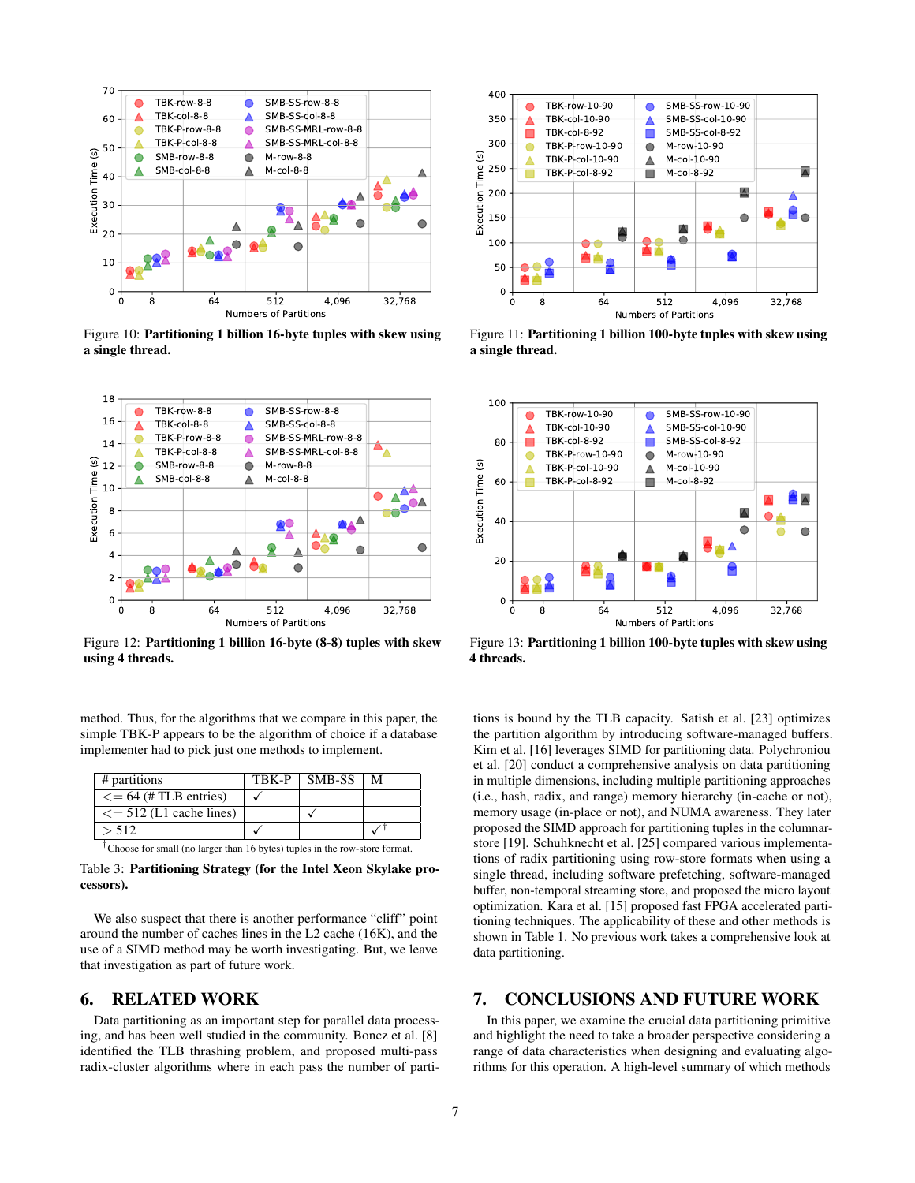<span id="page-6-2"></span>

Figure 10: Partitioning 1 billion 16-byte tuples with skew using a single thread.

<span id="page-6-3"></span>

Figure 12: Partitioning 1 billion 16-byte (8-8) tuples with skew using 4 threads.

method. Thus, for the algorithms that we compare in this paper, the simple TBK-P appears to be the algorithm of choice if a database implementer had to pick just one methods to implement.

<span id="page-6-4"></span>

| # partitions                   | TBK-P | SMB-SS | м |
|--------------------------------|-------|--------|---|
| $\epsilon = 64$ (#TLB entries) |       |        |   |
| $\leq$ = 512 (L1 cache lines)  |       |        |   |
| > 512                          |       |        |   |

† Choose for small (no larger than 16 bytes) tuples in the row-store format.

Table 3: Partitioning Strategy (for the Intel Xeon Skylake processors).

We also suspect that there is another performance "cliff" point around the number of caches lines in the L2 cache (16K), and the use of a SIMD method may be worth investigating. But, we leave that investigation as part of future work.

# <span id="page-6-0"></span>6. RELATED WORK

Data partitioning as an important step for parallel data processing, and has been well studied in the community. Boncz et al. [\[8\]](#page-7-1) identified the TLB thrashing problem, and proposed multi-pass radix-cluster algorithms where in each pass the number of parti-



Figure 11: Partitioning 1 billion 100-byte tuples with skew using a single thread.



Figure 13: Partitioning 1 billion 100-byte tuples with skew using 4 threads.

tions is bound by the TLB capacity. Satish et al. [\[23\]](#page-7-8) optimizes the partition algorithm by introducing software-managed buffers. Kim et al. [\[16\]](#page-7-2) leverages SIMD for partitioning data. Polychroniou et al. [\[20\]](#page-7-4) conduct a comprehensive analysis on data partitioning in multiple dimensions, including multiple partitioning approaches (i.e., hash, radix, and range) memory hierarchy (in-cache or not), memory usage (in-place or not), and NUMA awareness. They later proposed the SIMD approach for partitioning tuples in the columnarstore [\[19\]](#page-7-14). Schuhknecht et al. [\[25\]](#page-7-18) compared various implementations of radix partitioning using row-store formats when using a single thread, including software prefetching, software-managed buffer, non-temporal streaming store, and proposed the micro layout optimization. Kara et al. [\[15\]](#page-7-19) proposed fast FPGA accelerated partitioning techniques. The applicability of these and other methods is shown in Table [1.](#page-2-0) No previous work takes a comprehensive look at data partitioning.

# <span id="page-6-1"></span>7. CONCLUSIONS AND FUTURE WORK

In this paper, we examine the crucial data partitioning primitive and highlight the need to take a broader perspective considering a range of data characteristics when designing and evaluating algorithms for this operation. A high-level summary of which methods